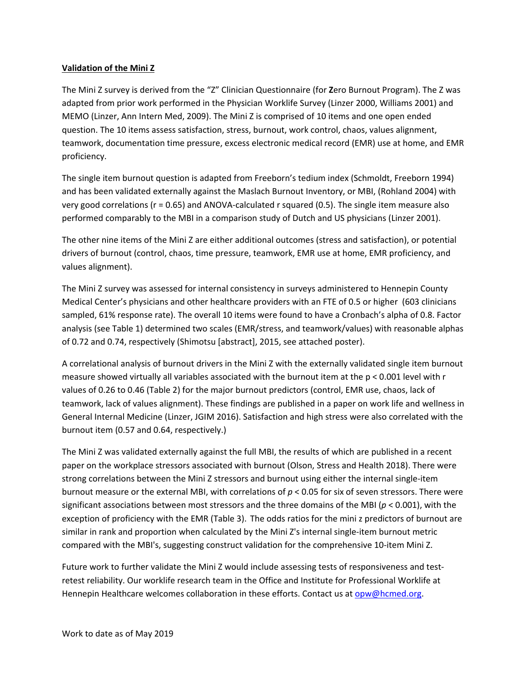## **Validation of the Mini Z**

The Mini Z survey is derived from the "Z" Clinician Questionnaire (for **Z**ero Burnout Program). The Z was adapted from prior work performed in the Physician Worklife Survey (Linzer 2000, Williams 2001) and MEMO (Linzer, Ann Intern Med, 2009). The Mini Z is comprised of 10 items and one open ended question. The 10 items assess satisfaction, stress, burnout, work control, chaos, values alignment, teamwork, documentation time pressure, excess electronic medical record (EMR) use at home, and EMR proficiency.

The single item burnout question is adapted from Freeborn's tedium index (Schmoldt, Freeborn 1994) and has been validated externally against the Maslach Burnout Inventory, or MBI, (Rohland 2004) with very good correlations (r = 0.65) and ANOVA‐calculated r squared (0.5). The single item measure also performed comparably to the MBI in a comparison study of Dutch and US physicians (Linzer 2001).

The other nine items of the Mini Z are either additional outcomes (stress and satisfaction), or potential drivers of burnout (control, chaos, time pressure, teamwork, EMR use at home, EMR proficiency, and values alignment).

The Mini Z survey was assessed for internal consistency in surveys administered to Hennepin County Medical Center's physicians and other healthcare providers with an FTE of 0.5 or higher (603 clinicians sampled, 61% response rate). The overall 10 items were found to have a Cronbach's alpha of 0.8. Factor analysis (see Table 1) determined two scales (EMR/stress, and teamwork/values) with reasonable alphas of 0.72 and 0.74, respectively (Shimotsu [abstract], 2015, see attached poster).

A correlational analysis of burnout drivers in the Mini Z with the externally validated single item burnout measure showed virtually all variables associated with the burnout item at the  $p < 0.001$  level with r values of 0.26 to 0.46 (Table 2) for the major burnout predictors (control, EMR use, chaos, lack of teamwork, lack of values alignment). These findings are published in a paper on work life and wellness in General Internal Medicine (Linzer, JGIM 2016). Satisfaction and high stress were also correlated with the burnout item (0.57 and 0.64, respectively.)

The Mini Z was validated externally against the full MBI, the results of which are published in a recent paper on the workplace stressors associated with burnout (Olson, Stress and Health 2018). There were strong correlations between the Mini Z stressors and burnout using either the internal single‐item burnout measure or the external MBI, with correlations of *p* < 0.05 for six of seven stressors. There were significant associations between most stressors and the three domains of the MBI (*p* < 0.001), with the exception of proficiency with the EMR (Table 3). The odds ratios for the mini z predictors of burnout are similar in rank and proportion when calculated by the Mini Z's internal single‐item burnout metric compared with the MBI's, suggesting construct validation for the comprehensive 10‐item Mini Z.

Future work to further validate the Mini Z would include assessing tests of responsiveness and testretest reliability. Our worklife research team in the Office and Institute for Professional Worklife at Hennepin Healthcare welcomes collaboration in these efforts. Contact us at opw@hcmed.org.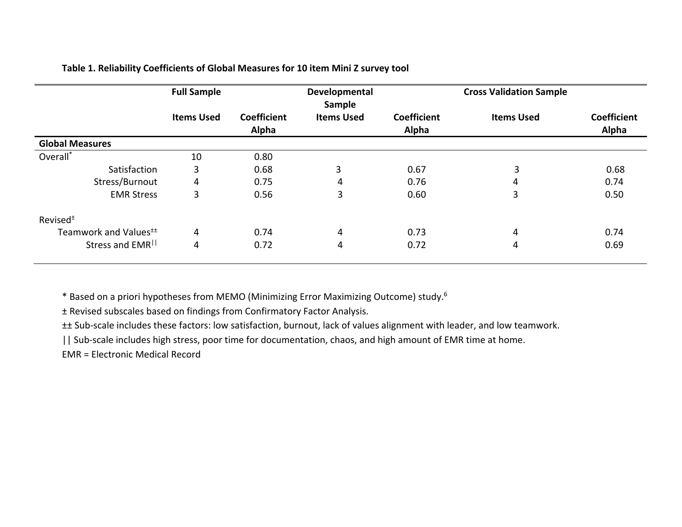|                                   | <b>Full Sample</b> |                             | Developmental<br>Sample |                             | <b>Cross Validation Sample</b> |                             |
|-----------------------------------|--------------------|-----------------------------|-------------------------|-----------------------------|--------------------------------|-----------------------------|
|                                   | <b>Items Used</b>  | <b>Coefficient</b><br>Alpha | <b>Items Used</b>       | <b>Coefficient</b><br>Alpha | <b>Items Used</b>              | <b>Coefficient</b><br>Alpha |
| <b>Global Measures</b>            |                    |                             |                         |                             |                                |                             |
| Overall <sup>*</sup>              | 10                 | 0.80                        |                         |                             |                                |                             |
| Satisfaction                      | 3                  | 0.68                        | 3                       | 0.67                        | 3                              | 0.68                        |
| Stress/Burnout                    | 4                  | 0.75                        | 4                       | 0.76                        | 4                              | 0.74                        |
| <b>EMR Stress</b>                 | 3                  | 0.56                        | 3                       | 0.60                        | 3                              | 0.50                        |
| Revised $±$                       |                    |                             |                         |                             |                                |                             |
| Teamwork and Values <sup>++</sup> | 4                  | 0.74                        | 4                       | 0.73                        | 4                              | 0.74                        |
| Stress and EMR <sup>II</sup>      | 4                  | 0.72                        | 4                       | 0.72                        | 4                              | 0.69                        |

# **Table 1. Reliability Coefficients of Global Measures for 10 item Mini Z survey tool**

\* Based on <sup>a</sup> priori hypotheses from MEMO (Minimizing Error Maximizing Outcome) study.6

± Revised subscales based on findings from Confirmatory Factor Analysis.

±± Sub‐scale includes these factors: low satisfaction, burnout, lack of values alignment with leader, and low teamwork.

|| Sub-scale includes high stress, poor time for documentation, chaos, and high amount of EMR time at home.

EMR <sup>=</sup> Electronic Medical Record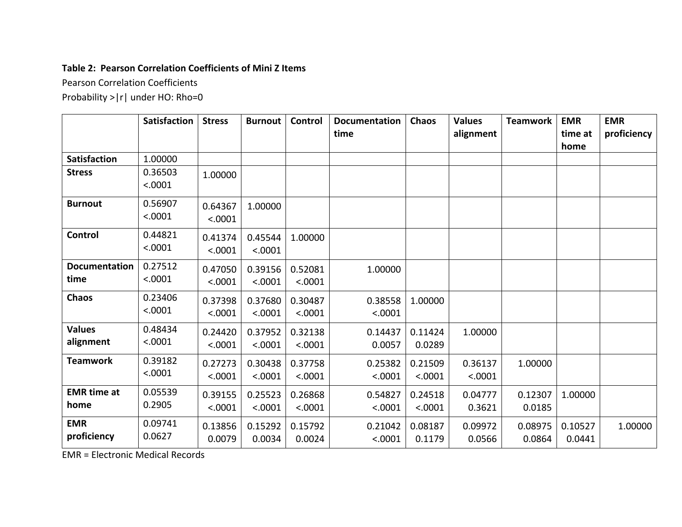# **Table 2: Pearson Correlation Coefficients of Mini Z Items**

Pearson Correlation Coefficients

Probability >|r| under HO: Rho=0

|                              | <b>Satisfaction</b> | <b>Stress</b>      | <b>Burnout</b>     | <b>Control</b>     | <b>Documentation</b><br>time | <b>Chaos</b>       | <b>Values</b><br>alignment | <b>Teamwork</b>   | <b>EMR</b><br>time at<br>home | <b>EMR</b><br>proficiency |
|------------------------------|---------------------|--------------------|--------------------|--------------------|------------------------------|--------------------|----------------------------|-------------------|-------------------------------|---------------------------|
| <b>Satisfaction</b>          | 1.00000             |                    |                    |                    |                              |                    |                            |                   |                               |                           |
| <b>Stress</b>                | 0.36503<br>< .0001  | 1.00000            |                    |                    |                              |                    |                            |                   |                               |                           |
| <b>Burnout</b>               | 0.56907<br>< .0001  | 0.64367<br>< .0001 | 1.00000            |                    |                              |                    |                            |                   |                               |                           |
| <b>Control</b>               | 0.44821<br>< .0001  | 0.41374<br>< .0001 | 0.45544<br>< .0001 | 1.00000            |                              |                    |                            |                   |                               |                           |
| <b>Documentation</b><br>time | 0.27512<br>< .0001  | 0.47050<br>< .0001 | 0.39156<br>< .0001 | 0.52081<br>< .0001 | 1.00000                      |                    |                            |                   |                               |                           |
| <b>Chaos</b>                 | 0.23406<br>< .0001  | 0.37398<br>< .0001 | 0.37680<br>< .0001 | 0.30487<br>< .0001 | 0.38558<br>< .0001           | 1.00000            |                            |                   |                               |                           |
| <b>Values</b><br>alignment   | 0.48434<br>< .0001  | 0.24420<br>< .0001 | 0.37952<br>< .0001 | 0.32138<br>< .0001 | 0.14437<br>0.0057            | 0.11424<br>0.0289  | 1.00000                    |                   |                               |                           |
| <b>Teamwork</b>              | 0.39182<br>< .0001  | 0.27273<br>< .0001 | 0.30438<br>< .0001 | 0.37758<br>< .0001 | 0.25382<br>< .0001           | 0.21509<br>< .0001 | 0.36137<br>< .0001         | 1.00000           |                               |                           |
| <b>EMR</b> time at<br>home   | 0.05539<br>0.2905   | 0.39155<br>< .0001 | 0.25523<br>< .0001 | 0.26868<br>< .0001 | 0.54827<br>< .0001           | 0.24518<br>< .0001 | 0.04777<br>0.3621          | 0.12307<br>0.0185 | 1.00000                       |                           |
| <b>EMR</b><br>proficiency    | 0.09741<br>0.0627   | 0.13856<br>0.0079  | 0.15292<br>0.0034  | 0.15792<br>0.0024  | 0.21042<br>< .0001           | 0.08187<br>0.1179  | 0.09972<br>0.0566          | 0.08975<br>0.0864 | 0.10527<br>0.0441             | 1.00000                   |

EMR <sup>=</sup> Electronic Medical Records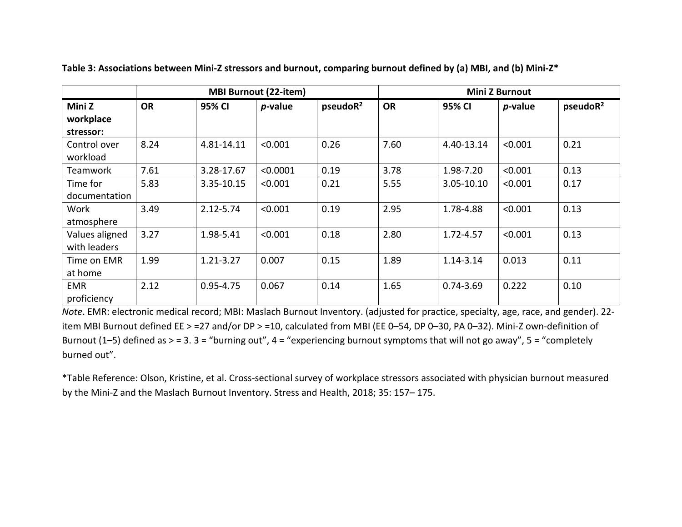|                |           |               | <b>MBI Burnout (22-item)</b> |                      | <b>Mini Z Burnout</b> |               |            |                      |  |  |
|----------------|-----------|---------------|------------------------------|----------------------|-----------------------|---------------|------------|----------------------|--|--|
| Mini Z         | <b>OR</b> | 95% CI        | <i>p</i> -value              | pseudoR <sup>2</sup> | <b>OR</b>             | 95% CI        | $p$ -value | pseudoR <sup>2</sup> |  |  |
| workplace      |           |               |                              |                      |                       |               |            |                      |  |  |
| stressor:      |           |               |                              |                      |                       |               |            |                      |  |  |
| Control over   | 8.24      | 4.81-14.11    | < 0.001                      | 0.26                 | 7.60                  | 4.40-13.14    | < 0.001    | 0.21                 |  |  |
| workload       |           |               |                              |                      |                       |               |            |                      |  |  |
| Teamwork       | 7.61      | 3.28-17.67    | < 0.0001                     | 0.19                 | 3.78                  | 1.98-7.20     | < 0.001    | 0.13                 |  |  |
| Time for       | 5.83      | 3.35-10.15    | < 0.001                      | 0.21                 | 5.55                  | 3.05-10.10    | < 0.001    | 0.17                 |  |  |
| documentation  |           |               |                              |                      |                       |               |            |                      |  |  |
| Work           | 3.49      | 2.12-5.74     | < 0.001                      | 0.19                 | 2.95                  | 1.78-4.88     | < 0.001    | 0.13                 |  |  |
| atmosphere     |           |               |                              |                      |                       |               |            |                      |  |  |
| Values aligned | 3.27      | 1.98-5.41     | < 0.001                      | 0.18                 | 2.80                  | 1.72-4.57     | < 0.001    | 0.13                 |  |  |
| with leaders   |           |               |                              |                      |                       |               |            |                      |  |  |
| Time on EMR    | 1.99      | $1.21 - 3.27$ | 0.007                        | 0.15                 | 1.89                  | 1.14-3.14     | 0.013      | 0.11                 |  |  |
| at home        |           |               |                              |                      |                       |               |            |                      |  |  |
| <b>EMR</b>     | 2.12      | $0.95 - 4.75$ | 0.067                        | 0.14                 | 1.65                  | $0.74 - 3.69$ | 0.222      | 0.10                 |  |  |
| proficiency    |           |               |                              |                      |                       |               |            |                      |  |  |

Table 3: Associations between Mini-Z stressors and burnout, comparing burnout defined by (a) MBI, and (b) Mini-Z\*

*Note*. EMR: electronic medical record; MBI: Maslach Burnout Inventory. (adjusted for practice, specialty, age, race, and gender). 22‐ item MBI Burnout defined EE <sup>&</sup>gt; =27 and/or DP <sup>&</sup>gt; =10, calculated from MBI (EE 0–54, DP 0–30, PA 0–32). Mini‐Z own‐definition of Burnout (1–5) defined as <sup>&</sup>gt; <sup>=</sup> 3. 3 <sup>=</sup> "burning out", 4 <sup>=</sup> "experiencing burnout symptoms that will not go away", 5 <sup>=</sup> "completely burned out".

\*Table Reference: Olson, Kristine, et al. Cross‐sectional survey of workplace stressors associated with physician burnout measured by the Mini‐Z and the Maslach Burnout Inventory. Stress and Health, 2018; 35: 157– 175.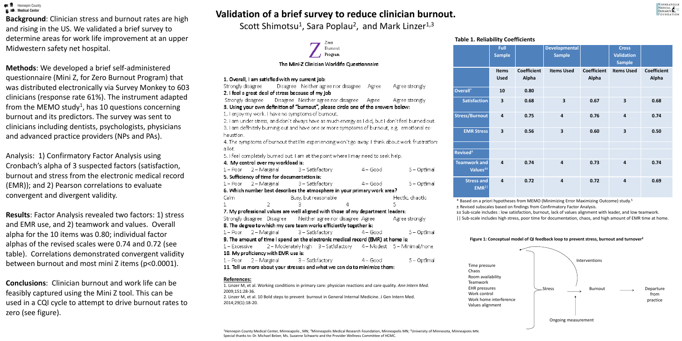# **Validation of a brief survey to reduce clinician burnout.**

1. Ove -Strong  $2.1$  fer Stron 3. Usir  $1.1$ en  $2.1<sub>ar</sub>$ 3.1 am **hausti** 4. The a lot.  $5.1fee$ 4. My  $1 - Po$ 5. Suff  $1 - Po$ **6. Whi** Calm 7. My . Strong 8. The  $1 - Po$ 9. The  $1 - Ex$ 10. M  $1 - Po$ 11. Te

# **Refere**

2009;1  $2014;29$ 

 $\equiv \mathbb{m}$  Hennepin County  $\mathbf{u} \equiv$  Medical Center

**Background**: Clinician stress and burnout rates are high and rising in the US. We validated a brief survey to determine areas for work life improvement at an upper Midwestern safety net hospital.

**Methods**: We developed a brief self-administered questionnaire (Mini Z, for Zero Burnout Program) that was distributed electronically via Survey Monkey to 603 clinicians (response rate 61%). The instrument adapted from the MEMO study<sup>1</sup>, has 10 questions concerning burnout and its predictors. The survey was sent to clinicians including dentists, psychologists, physicians and advanced practice providers (NPs and PAs).

Analysis: 1) Confirmatory Factor Analysis using Cronbach's alpha of 3 suspected factors (satisfaction, burnout and stress from the electronic medical record (EMR)); and 2) Pearson correlations to evaluate convergent and divergent validity.

**Results**: Factor Analysis revealed two factors: 1) stress and EMR use, and 2) teamwork and values. Overall alpha for the 10 items was 0.80; individual factor alphas of the revised scales were 0.74 and 0.72 (see table). Correlations demonstrated convergent validity between burnout and most mini Z items (p<0.0001).

Scott Shimotsu<sup>1</sup>, Sara Poplau<sup>2</sup>, and Mark Linzer<sup>1,3</sup>

**Conclusions**: Clinician burnout and work life can be feasibly captured using the Mini Z tool. This can be used in a CQI cycle to attempt to drive burnout rates to zero (see figure).

| Zero <sub>1</sub>                                                                                                                                                                                                                                                                   |                                                                                                  | <b>Table 1. Reliability Coefficients</b>       |                    |                                                                                                                                                                                                                                                                                             |                    |                                    |                               |  |  |
|-------------------------------------------------------------------------------------------------------------------------------------------------------------------------------------------------------------------------------------------------------------------------------------|--------------------------------------------------------------------------------------------------|------------------------------------------------|--------------------|---------------------------------------------------------------------------------------------------------------------------------------------------------------------------------------------------------------------------------------------------------------------------------------------|--------------------|------------------------------------|-------------------------------|--|--|
| <b>Burnout</b><br>Program                                                                                                                                                                                                                                                           |                                                                                                  | Full<br><b>Sample</b>                          |                    | <b>Developmental</b><br><b>Sample</b>                                                                                                                                                                                                                                                       |                    | <b>Cross</b><br><b>Validation</b>  |                               |  |  |
| The Mini-Z Clinician Worklife Questionnaire                                                                                                                                                                                                                                         |                                                                                                  |                                                | <b>Coefficient</b> | <b>Items Used</b>                                                                                                                                                                                                                                                                           | <b>Coefficient</b> | <b>Sample</b><br><b>Items Used</b> | <b>Coefficient</b>            |  |  |
| 1. Overall, I am satisfied with my current job:<br>Disagree - Neither agree nor disagree -<br>Strongly disagree –<br>-Agree -<br>Agree strongly                                                                                                                                     |                                                                                                  | <b>Items</b><br><b>Used</b>                    | Alpha              |                                                                                                                                                                                                                                                                                             | Alpha              |                                    | <b>Alpha</b>                  |  |  |
| 2. I feel a great deal of stress because of my job                                                                                                                                                                                                                                  | Overall*                                                                                         | <b>10</b>                                      | 0.80               |                                                                                                                                                                                                                                                                                             |                    |                                    |                               |  |  |
| - Disagree - Neither agree nor disagree - - Agree -<br>Strongly disagree<br>Agree strongly<br>3. Using your own definition of "burnout", please circle one of the answers below:                                                                                                    | Satisfaction                                                                                     | 3 <sup>1</sup>                                 | 0.68               | 3 <sup>1</sup>                                                                                                                                                                                                                                                                              | 0.67               | 3 <sup>1</sup>                     | 0.68                          |  |  |
| 1. Fenjoy my work. Thave no symptoms of burnout. I<br>2. I am under stress, and don't always have as much energy as I did, but I don't feel burned out. I<br>3. Fam definitely burning out and have one or more symptoms of burnout, e.g. Femotional ex-                            | <b>Stress/Burnout</b>                                                                            | $\overline{4}$                                 | 0.75               | $\overline{\mathbf{4}}$                                                                                                                                                                                                                                                                     | 0.76               | $\overline{\mathbf{4}}$            | 0.74                          |  |  |
| haustion.<br>4. The symptoms of burnout that I'm experiencing won't go away. I think about work frustrations i                                                                                                                                                                      | <b>EMR Stress</b>                                                                                | $\vert 3 \vert$                                | 0.56               | 3 <sup>1</sup>                                                                                                                                                                                                                                                                              | 0.60               | 3 <sup>1</sup>                     | 0.50                          |  |  |
| a lot. I                                                                                                                                                                                                                                                                            |                                                                                                  |                                                |                    |                                                                                                                                                                                                                                                                                             |                    |                                    |                               |  |  |
| 5. I feel completely burned out. I am at the point where I may need to seek help.                                                                                                                                                                                                   | <b>Revised</b> <sup>±</sup>                                                                      |                                                |                    |                                                                                                                                                                                                                                                                                             |                    |                                    |                               |  |  |
| 4. My control over my workload is:                                                                                                                                                                                                                                                  | <b>Teamwork and</b>                                                                              | $\overline{4}$                                 | 0.74               | 4                                                                                                                                                                                                                                                                                           | 0.73               | $\overline{\mathbf{4}}$            | 0.74                          |  |  |
| - 2 – Marginali<br>3 – Satisfactory<br>$4 - Good$<br>$5 -$ Optimal<br>$1-$ Poor $\,$                                                                                                                                                                                                | Values <sup>±±</sup>                                                                             |                                                |                    |                                                                                                                                                                                                                                                                                             |                    |                                    |                               |  |  |
| 5. Sufficiency of time for documentation is:<br>3 – Satisfactory<br>$4 - Good$<br>$5 -$ Optimal<br>$1-$ Poor .<br>- 2 – Marginal<br>6. Which number best describes the atmosphere in your primary work area?                                                                        | <b>Stress and</b><br><b>EMRII</b>                                                                | $\overline{4}$                                 | 0.72               | $\overline{4}$                                                                                                                                                                                                                                                                              | 0.72               | $\overline{\mathbf{4}}$            | 0.69                          |  |  |
| Busy, but reasonable<br>Calm I<br>Hectic, chaotic                                                                                                                                                                                                                                   |                                                                                                  |                                                |                    |                                                                                                                                                                                                                                                                                             |                    |                                    |                               |  |  |
| 7. My professional values are well aligned with those of my department leaders:                                                                                                                                                                                                     |                                                                                                  |                                                |                    | * Based on a priori hypotheses from MEMO (Minimizing Error Maximizing Outcome) study. <sup>5</sup><br>± Revised subscales based on findings from Confirmatory Factor Analysis.<br>± Sub-scale includes : low satisfaction, burnout, lack of values alignment with leader, and low teamwork. |                    |                                    |                               |  |  |
| Strongly disagree - Disagree - -<br>- Neither agree nor disagree "Agree"<br>Agree strongly<br>8. The degree to which my care team works efficiently together is:                                                                                                                    |                                                                                                  |                                                |                    | Sub-scale includes high stress, poor time for documentation, chaos, and high amount of EMR time at home.                                                                                                                                                                                    |                    |                                    |                               |  |  |
| -3 – Satisfactory I<br>$5 - Optimal$<br>1 – Poor – 2 – Marginali<br>$4 - Good$                                                                                                                                                                                                      |                                                                                                  |                                                |                    |                                                                                                                                                                                                                                                                                             |                    |                                    |                               |  |  |
| 9. The amount of time I spend on the electronic medical record (EMR) at home is:<br>$1-$ Excessive $\blacksquare$<br>10. My proficiency with EMR use is:                                                                                                                            |                                                                                                  |                                                |                    | Figure 1: Conceptual model of QI feedback loop to prevent stress, burnout and turnover <sup>2</sup>                                                                                                                                                                                         |                    |                                    |                               |  |  |
| 1 – Poor – 2 – Marginali<br>-3 – Satisfactory I<br>$4 - Good$<br>$5 -$ Optimal<br>11. Tell us more about your stresses and what we can do to minimize them:                                                                                                                         |                                                                                                  | <b>Interventions</b><br>Time pressure<br>Chaos |                    |                                                                                                                                                                                                                                                                                             |                    |                                    |                               |  |  |
| <b>References:</b><br>1. Linzer M, et al. Working conditions in primary care: physician reactions and care quality. Ann Intern Med.<br>2009;151:28-36.<br>2. Linzer M, et al. 10 Bold steps to prevent burnout in General Internal Medicine. J Gen Intern Med.<br>2014;29(1):18-20. | Room availability<br><b>Teamwork</b><br><b>EHR</b> pressures<br>Work control<br>Values alignment | Work home interference                         |                    | _Stress                                                                                                                                                                                                                                                                                     | <b>Burnout</b>     |                                    | Departure<br>from<br>practice |  |  |
|                                                                                                                                                                                                                                                                                     |                                                                                                  |                                                |                    |                                                                                                                                                                                                                                                                                             |                    |                                    |                               |  |  |